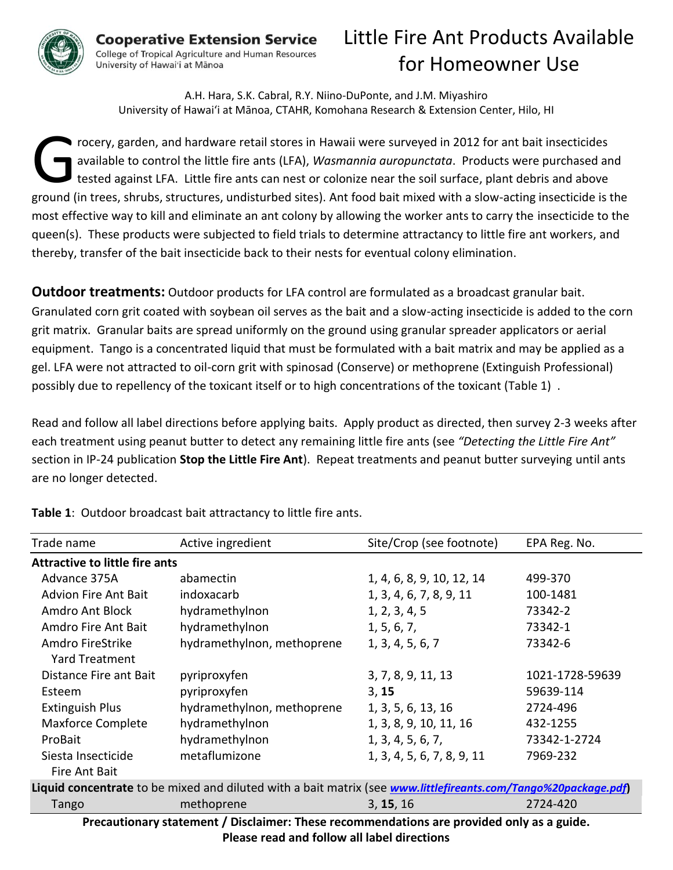

**Cooperative Extension Service** College of Tropical Agriculture and Human Resources University of Hawai'i at Mānoa

## Little Fire Ant Products Available for Homeowner Use

A.H. Hara, S.K. Cabral, R.Y. Niino-DuPonte, and J.M. Miyashiro University of Hawaiʻi at Mānoa, CTAHR, Komohana Research & Extension Center, Hilo, HI

rocery, garden, and hardware retail stores in Hawaii were surveyed in 2012 for ant bait insecticides available to control the little fire ants (LFA), *Wasmannia auropunctata*. Products were purchased and tested against LFA. Little fire ants can nest or colonize near the soil surface, plant debris and above Frocery, garden, and hardware retail stores in Hawaii were surveyed in 2012 for ant bait insecticides available to control the little fire ants (LFA), *Wasmannia auropunctata*. Products were purchased and tested against LF most effective way to kill and eliminate an ant colony by allowing the worker ants to carry the insecticide to the queen(s). These products were subjected to field trials to determine attractancy to little fire ant workers, and thereby, transfer of the bait insecticide back to their nests for eventual colony elimination.

**Outdoor treatments:** Outdoor products for LFA control are formulated as a broadcast granular bait. Granulated corn grit coated with soybean oil serves as the bait and a slow-acting insecticide is added to the corn grit matrix. Granular baits are spread uniformly on the ground using granular spreader applicators or aerial equipment. Tango is a concentrated liquid that must be formulated with a bait matrix and may be applied as a gel. LFA were not attracted to oil-corn grit with spinosad (Conserve) or methoprene (Extinguish Professional) possibly due to repellency of the toxicant itself or to high concentrations of the toxicant (Table 1) .

Read and follow all label directions before applying baits. Apply product as directed, then survey 2-3 weeks after each treatment using peanut butter to detect any remaining little fire ants (see *"Detecting the Little Fire Ant"* section in IP-24 publication **Stop the Little Fire Ant**). Repeat treatments and peanut butter surveying until ants are no longer detected.

| Trade name                                                                                                     | Active ingredient          | Site/Crop (see footnote)   | EPA Reg. No.    |  |  |
|----------------------------------------------------------------------------------------------------------------|----------------------------|----------------------------|-----------------|--|--|
| <b>Attractive to little fire ants</b>                                                                          |                            |                            |                 |  |  |
| Advance 375A                                                                                                   | abamectin                  | 1, 4, 6, 8, 9, 10, 12, 14  | 499-370         |  |  |
| <b>Advion Fire Ant Bait</b>                                                                                    | indoxacarb                 | 1, 3, 4, 6, 7, 8, 9, 11    | 100-1481        |  |  |
| <b>Amdro Ant Block</b>                                                                                         | hydramethylnon             | 1, 2, 3, 4, 5              | 73342-2         |  |  |
| Amdro Fire Ant Bait                                                                                            | hydramethylnon             | 1, 5, 6, 7,                | 73342-1         |  |  |
| Amdro FireStrike<br><b>Yard Treatment</b>                                                                      | hydramethylnon, methoprene | 1, 3, 4, 5, 6, 7           | 73342-6         |  |  |
| Distance Fire ant Bait                                                                                         | pyriproxyfen               | 3, 7, 8, 9, 11, 13         | 1021-1728-59639 |  |  |
| Esteem                                                                                                         | pyriproxyfen               | 3, 15                      | 59639-114       |  |  |
| <b>Extinguish Plus</b>                                                                                         | hydramethylnon, methoprene | 1, 3, 5, 6, 13, 16         | 2724-496        |  |  |
| Maxforce Complete                                                                                              | hydramethylnon             | 1, 3, 8, 9, 10, 11, 16     | 432-1255        |  |  |
| ProBait                                                                                                        | hydramethylnon             | 1, 3, 4, 5, 6, 7,          | 73342-1-2724    |  |  |
| Siesta Insecticide                                                                                             | metaflumizone              | 1, 3, 4, 5, 6, 7, 8, 9, 11 | 7969-232        |  |  |
| Fire Ant Bait                                                                                                  |                            |                            |                 |  |  |
| Liquid concentrate to be mixed and diluted with a bait matrix (see www.littlefireants.com/Tango%20package.pdf) |                            |                            |                 |  |  |
| Tango                                                                                                          | methoprene                 | 3, 15, 16                  | 2724-420        |  |  |
| Precautionary statement / Disclaimer: These recommendations are provided only as a guide.                      |                            |                            |                 |  |  |
| Diese read and follow all label directions                                                                     |                            |                            |                 |  |  |

**Table 1**: Outdoor broadcast bait attractancy to little fire ants.

**Please read and follow all label directions**